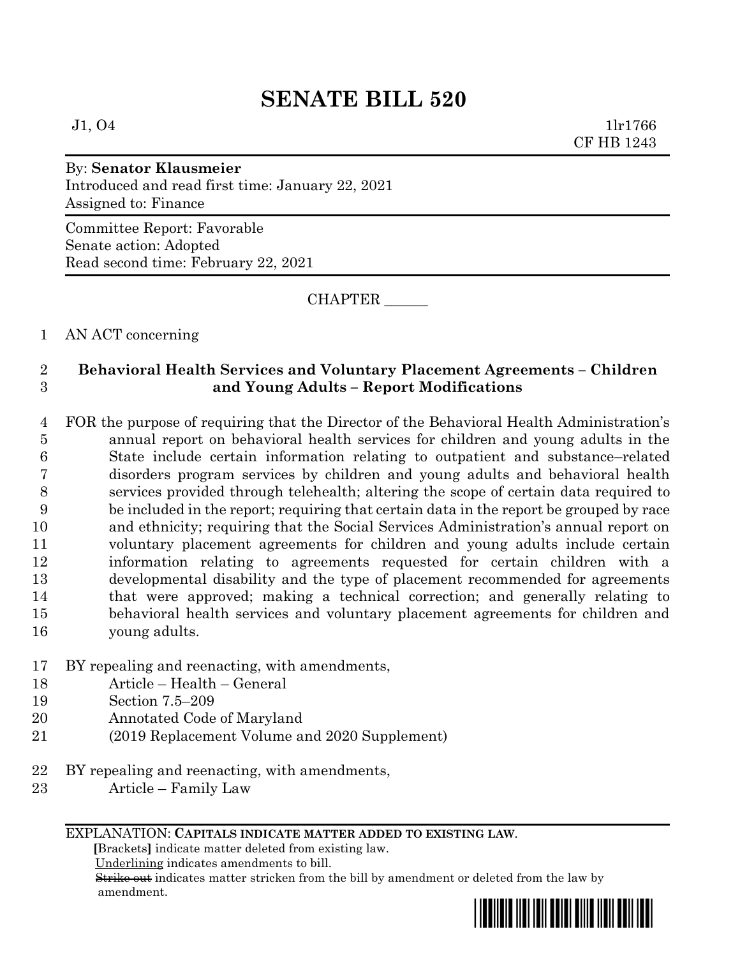# **SENATE BILL 520**

 $J1, O4$  1lr1766 CF HB 1243

# By: **Senator Klausmeier**

Introduced and read first time: January 22, 2021 Assigned to: Finance

Committee Report: Favorable Senate action: Adopted Read second time: February 22, 2021

CHAPTER \_\_\_\_\_\_

#### 1 AN ACT concerning

## 2 **Behavioral Health Services and Voluntary Placement Agreements – Children**  3 **and Young Adults – Report Modifications**

 FOR the purpose of requiring that the Director of the Behavioral Health Administration's annual report on behavioral health services for children and young adults in the State include certain information relating to outpatient and substance–related disorders program services by children and young adults and behavioral health services provided through telehealth; altering the scope of certain data required to be included in the report; requiring that certain data in the report be grouped by race and ethnicity; requiring that the Social Services Administration's annual report on voluntary placement agreements for children and young adults include certain information relating to agreements requested for certain children with a developmental disability and the type of placement recommended for agreements that were approved; making a technical correction; and generally relating to behavioral health services and voluntary placement agreements for children and young adults.

#### 17 BY repealing and reenacting, with amendments,

- 18 Article Health General
- 19 Section 7.5–209
- 20 Annotated Code of Maryland
- 21 (2019 Replacement Volume and 2020 Supplement)
- 22 BY repealing and reenacting, with amendments,
- 23 Article Family Law

#### EXPLANATION: **CAPITALS INDICATE MATTER ADDED TO EXISTING LAW**.

 **[**Brackets**]** indicate matter deleted from existing law.

Underlining indicates amendments to bill.

 Strike out indicates matter stricken from the bill by amendment or deleted from the law by amendment.

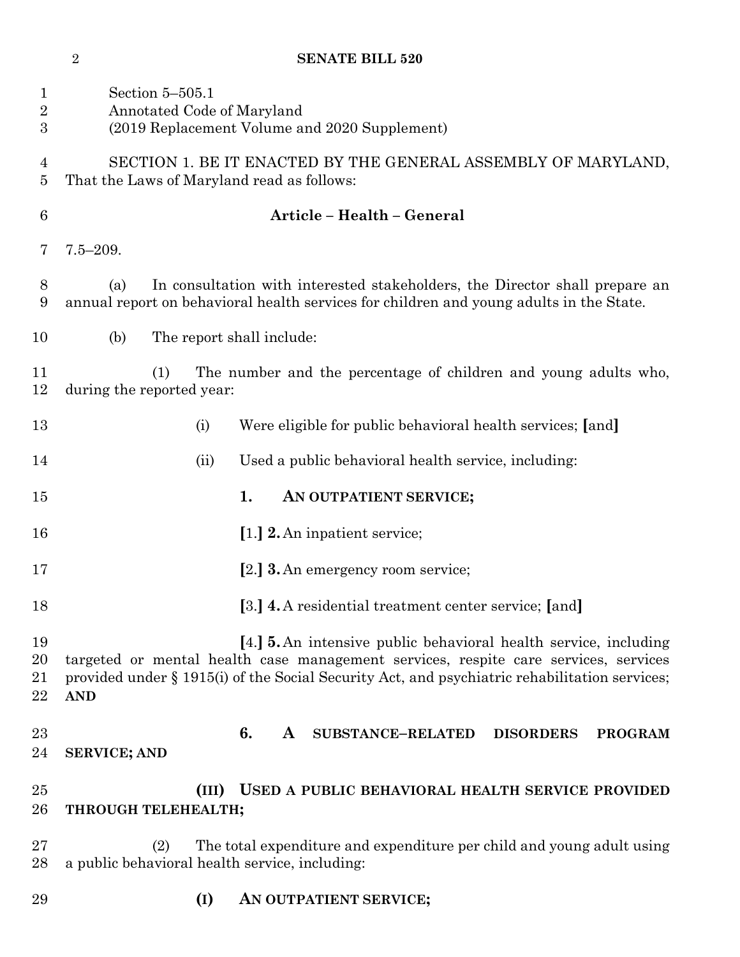|  | <b>SENATE BILL 520</b> |
|--|------------------------|

| $\mathbf{1}$<br>$\sqrt{2}$<br>3 | Section 5-505.1<br>Annotated Code of Maryland<br>(2019 Replacement Volume and 2020 Supplement)                                                                                                                                                                                |
|---------------------------------|-------------------------------------------------------------------------------------------------------------------------------------------------------------------------------------------------------------------------------------------------------------------------------|
| $\overline{4}$<br>5             | SECTION 1. BE IT ENACTED BY THE GENERAL ASSEMBLY OF MARYLAND,<br>That the Laws of Maryland read as follows:                                                                                                                                                                   |
| $6\phantom{.}6$                 | Article - Health - General                                                                                                                                                                                                                                                    |
| 7                               | $7.5 - 209.$                                                                                                                                                                                                                                                                  |
| 8<br>9                          | In consultation with interested stakeholders, the Director shall prepare an<br>(a)<br>annual report on behavioral health services for children and young adults in the State.                                                                                                 |
| 10                              | (b)<br>The report shall include:                                                                                                                                                                                                                                              |
| 11<br>12                        | The number and the percentage of children and young adults who,<br>(1)<br>during the reported year:                                                                                                                                                                           |
| 13                              | Were eligible for public behavioral health services; [and]<br>(i)                                                                                                                                                                                                             |
| 14                              | Used a public behavioral health service, including:<br>(ii)                                                                                                                                                                                                                   |
| 15                              | 1.<br>AN OUTPATIENT SERVICE;                                                                                                                                                                                                                                                  |
| 16                              | [1.] 2. An inpatient service;                                                                                                                                                                                                                                                 |
| 17                              | [2.] <b>3.</b> An emergency room service;                                                                                                                                                                                                                                     |
| 18                              | [3.] 4. A residential treatment center service; [and]                                                                                                                                                                                                                         |
| 19<br>20<br>21<br>22            | [4.] <b>5.</b> An intensive public behavioral health service, including<br>targeted or mental health case management services, respite care services, services<br>provided under § 1915(i) of the Social Security Act, and psychiatric rehabilitation services;<br><b>AND</b> |
| 23<br>24                        | 6.<br><b>SUBSTANCE-RELATED</b><br><b>DISORDERS</b><br><b>PROGRAM</b><br>A<br><b>SERVICE; AND</b>                                                                                                                                                                              |
| 25<br>26                        | USED A PUBLIC BEHAVIORAL HEALTH SERVICE PROVIDED<br>(III)<br>THROUGH TELEHEALTH;                                                                                                                                                                                              |
| 27<br>28                        | The total expenditure and expenditure per child and young adult using<br>(2)<br>a public behavioral health service, including:                                                                                                                                                |
| 29                              | (I)<br>AN OUTPATIENT SERVICE;                                                                                                                                                                                                                                                 |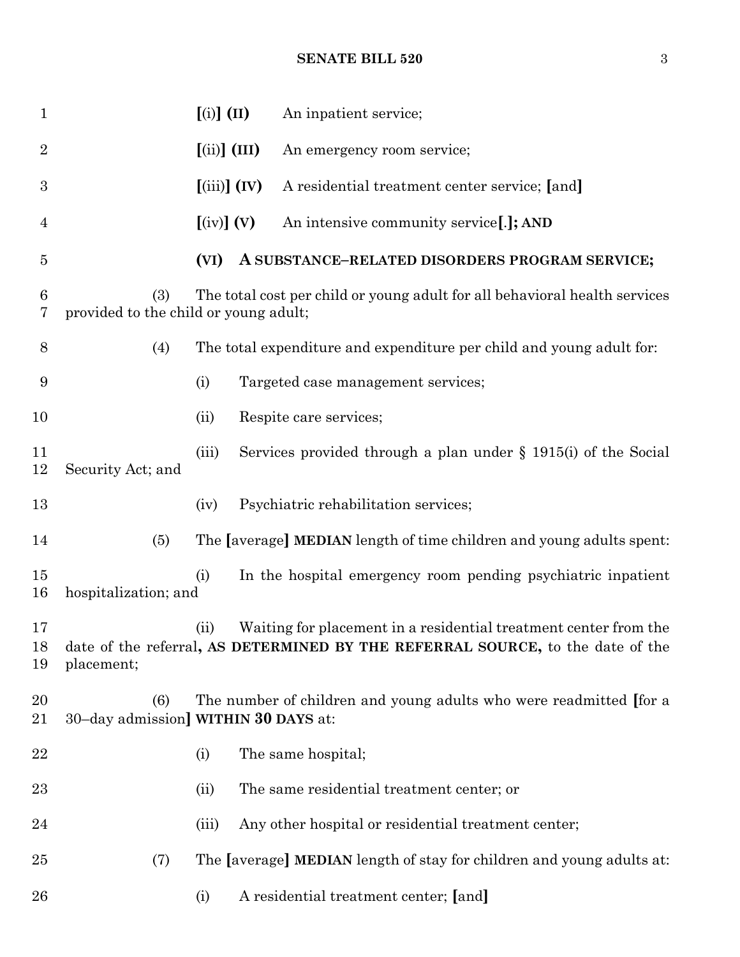### **SENATE BILL 520** 3

| $\mathbf 1$    |                                              | $(i)$ $(II)$                   | An inpatient service;                                                                                                                                 |
|----------------|----------------------------------------------|--------------------------------|-------------------------------------------------------------------------------------------------------------------------------------------------------|
| $\overline{2}$ |                                              | $(iii)$ (III)                  | An emergency room service;                                                                                                                            |
| 3              |                                              | $(iii)$ $(V)$                  | A residential treatment center service; [and]                                                                                                         |
| 4              |                                              | $\left[\text{(iv)}\right]$ (V) | An intensive community service[.]; AND                                                                                                                |
| $\overline{5}$ |                                              | (VI)                           | A SUBSTANCE-RELATED DISORDERS PROGRAM SERVICE;                                                                                                        |
| 6<br>7         | (3)<br>provided to the child or young adult; |                                | The total cost per child or young adult for all behavioral health services                                                                            |
| $8\,$          | (4)                                          |                                | The total expenditure and expenditure per child and young adult for:                                                                                  |
| 9              |                                              | (i)                            | Targeted case management services;                                                                                                                    |
| 10             |                                              | (ii)                           | Respite care services;                                                                                                                                |
| 11<br>12       | Security Act; and                            | (iii)                          | Services provided through a plan under $\S$ 1915(i) of the Social                                                                                     |
| 13             |                                              | (iv)                           | Psychiatric rehabilitation services;                                                                                                                  |
| 14             | (5)                                          |                                | The [average] MEDIAN length of time children and young adults spent:                                                                                  |
| 15<br>16       | hospitalization; and                         | (i)                            | In the hospital emergency room pending psychiatric inpatient                                                                                          |
| 17<br>19       | placement;                                   | (ii)                           | Waiting for placement in a residential treatment center from the<br>18 date of the referral, AS DETERMINED BY THE REFERRAL SOURCE, to the date of the |
| 20<br>21       | (6)<br>30-day admission] WITHIN 30 DAYS at:  |                                | The number of children and young adults who were readmitted for a                                                                                     |
| 22             |                                              | (i)                            | The same hospital;                                                                                                                                    |
| 23             |                                              | (ii)                           | The same residential treatment center; or                                                                                                             |
| 24             |                                              | (iii)                          | Any other hospital or residential treatment center;                                                                                                   |
| 25             | (7)                                          |                                | The [average] MEDIAN length of stay for children and young adults at:                                                                                 |
| 26             |                                              | (i)                            | A residential treatment center; [and]                                                                                                                 |
|                |                                              |                                |                                                                                                                                                       |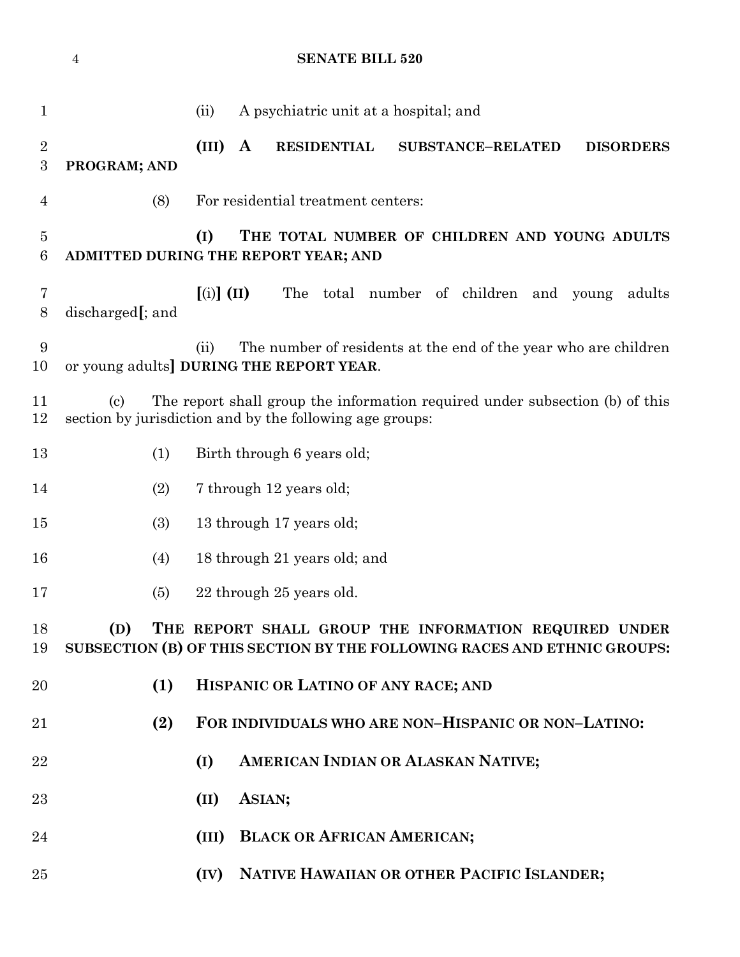|                                    | $\overline{4}$             | <b>SENATE BILL 520</b>                                                                                                                   |
|------------------------------------|----------------------------|------------------------------------------------------------------------------------------------------------------------------------------|
| 1                                  |                            | A psychiatric unit at a hospital; and<br>(ii)                                                                                            |
| $\overline{2}$<br>$\boldsymbol{3}$ | PROGRAM; AND               | (III)<br>$\mathbf{A}$<br><b>RESIDENTIAL</b><br><b>SUBSTANCE-RELATED</b><br><b>DISORDERS</b>                                              |
| 4                                  | (8)                        | For residential treatment centers:                                                                                                       |
| 5<br>$6\phantom{.}6$               |                            | (I)<br>THE TOTAL NUMBER OF CHILDREN AND YOUNG ADULTS<br>ADMITTED DURING THE REPORT YEAR; AND                                             |
| 7<br>$8\,$                         | discharged[; and           | $\left[ \text{(i)} \right] \text{(II)}$<br>The total number of children and young<br>adults                                              |
| 9<br>10                            |                            | The number of residents at the end of the year who are children<br>(ii)<br>or young adults DURING THE REPORT YEAR.                       |
| 11<br>12                           | $\left( \mathrm{c}\right)$ | The report shall group the information required under subsection (b) of this<br>section by jurisdiction and by the following age groups: |
| 13                                 | (1)                        | Birth through 6 years old;                                                                                                               |
| 14                                 | (2)                        | 7 through 12 years old;                                                                                                                  |
| 15                                 | (3)                        | 13 through 17 years old;                                                                                                                 |
| 16                                 | (4)                        | 18 through 21 years old; and                                                                                                             |
| 17                                 | (5)                        | 22 through 25 years old.                                                                                                                 |
| 18<br>19                           | (D)                        | THE REPORT SHALL GROUP THE INFORMATION REQUIRED UNDER<br>SUBSECTION (B) OF THIS SECTION BY THE FOLLOWING RACES AND ETHNIC GROUPS:        |
| 20                                 | (1)                        | HISPANIC OR LATINO OF ANY RACE; AND                                                                                                      |
| 21                                 | (2)                        | FOR INDIVIDUALS WHO ARE NON-HISPANIC OR NON-LATINO:                                                                                      |
| 22                                 |                            | AMERICAN INDIAN OR ALASKAN NATIVE;<br>(I)                                                                                                |
| 23                                 |                            | ASIAN;<br>(II)                                                                                                                           |
| 24                                 |                            | <b>BLACK OR AFRICAN AMERICAN;</b><br>(III)                                                                                               |
| 25                                 |                            | NATIVE HAWAIIAN OR OTHER PACIFIC ISLANDER;<br>(IV)                                                                                       |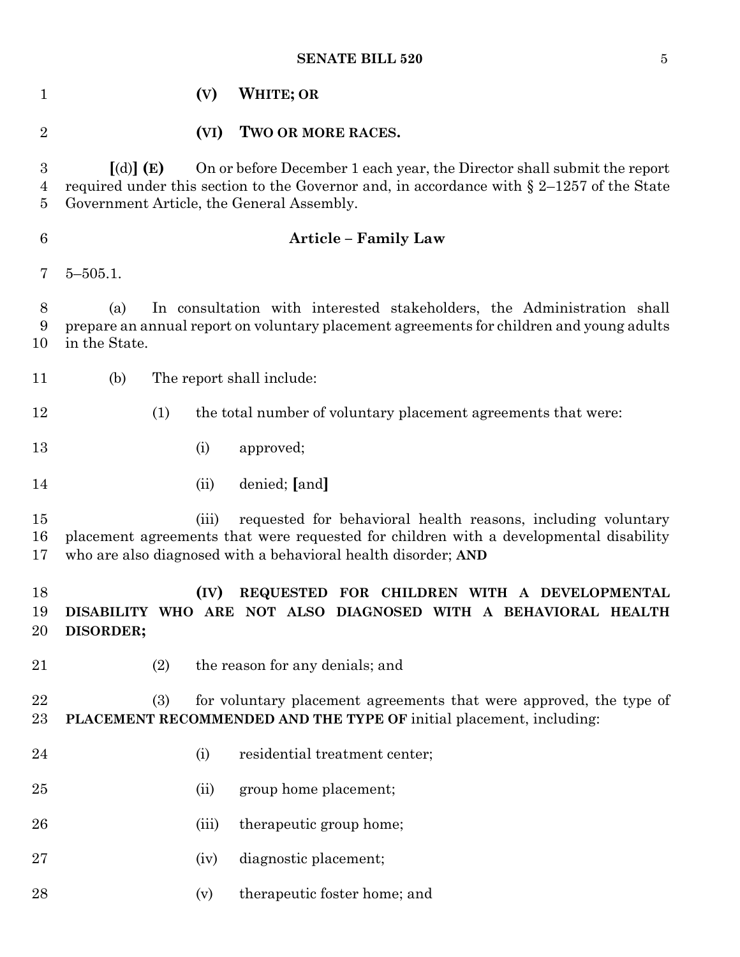### **SENATE BILL 520** 5

| $\mathbf{1}$                          |                           | (V)   | <b>WHITE; OR</b>                                                                                                                                                                                                       |
|---------------------------------------|---------------------------|-------|------------------------------------------------------------------------------------------------------------------------------------------------------------------------------------------------------------------------|
| $\overline{2}$                        |                           | (VI)  | TWO OR MORE RACES.                                                                                                                                                                                                     |
| 3<br>$\overline{4}$<br>$\overline{5}$ | $\lceil$ (d) $\rceil$ (E) |       | On or before December 1 each year, the Director shall submit the report<br>required under this section to the Governor and, in accordance with $\S 2-1257$ of the State<br>Government Article, the General Assembly.   |
| $6\phantom{.}6$                       |                           |       | <b>Article - Family Law</b>                                                                                                                                                                                            |
| 7                                     | $5 - 505.1$ .             |       |                                                                                                                                                                                                                        |
| 8<br>9<br>10                          | (a)<br>in the State.      |       | In consultation with interested stakeholders, the Administration shall<br>prepare an annual report on voluntary placement agreements for children and young adults                                                     |
| 11                                    | (b)                       |       | The report shall include:                                                                                                                                                                                              |
| 12                                    |                           | (1)   | the total number of voluntary placement agreements that were:                                                                                                                                                          |
| 13                                    |                           | (i)   | approved;                                                                                                                                                                                                              |
| 14                                    |                           | (ii)  | denied; [and]                                                                                                                                                                                                          |
| 15<br>16<br>17                        |                           | (iii) | requested for behavioral health reasons, including voluntary<br>placement agreements that were requested for children with a developmental disability<br>who are also diagnosed with a behavioral health disorder; AND |
| 18<br>19<br>20                        | DISORDER;                 | (IV)  | REQUESTED FOR CHILDREN WITH A DEVELOPMENTAL<br>DISABILITY WHO ARE NOT ALSO DIAGNOSED WITH A BEHAVIORAL HEALTH                                                                                                          |
| 21                                    |                           | (2)   | the reason for any denials; and                                                                                                                                                                                        |
| 22<br>23                              |                           | (3)   | for voluntary placement agreements that were approved, the type of<br>PLACEMENT RECOMMENDED AND THE TYPE OF initial placement, including:                                                                              |
| $\bf{24}$                             |                           | (i)   | residential treatment center;                                                                                                                                                                                          |
| 25                                    |                           | (ii)  | group home placement;                                                                                                                                                                                                  |
| 26                                    |                           | (iii) | therapeutic group home;                                                                                                                                                                                                |
| 27                                    |                           | (iv)  | diagnostic placement;                                                                                                                                                                                                  |
| 28                                    |                           | (v)   | therapeutic foster home; and                                                                                                                                                                                           |
|                                       |                           |       |                                                                                                                                                                                                                        |